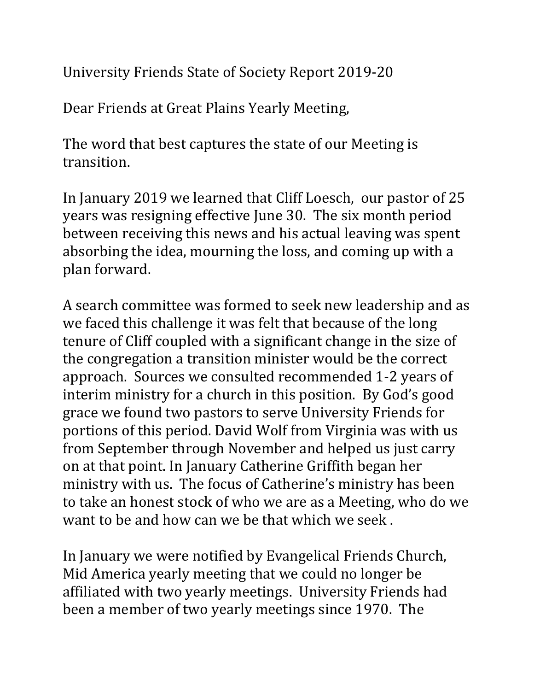University Friends State of Society Report 2019-20

Dear Friends at Great Plains Yearly Meeting,

The word that best captures the state of our Meeting is transition.

In January 2019 we learned that Cliff Loesch, our pastor of 25 years was resigning effective June 30. The six month period between receiving this news and his actual leaving was spent absorbing the idea, mourning the loss, and coming up with a plan forward.

A search committee was formed to seek new leadership and as we faced this challenge it was felt that because of the long tenure of Cliff coupled with a significant change in the size of the congregation a transition minister would be the correct approach. Sources we consulted recommended 1-2 years of interim ministry for a church in this position. By God's good grace we found two pastors to serve University Friends for portions of this period. David Wolf from Virginia was with us from September through November and helped us just carry on at that point. In January Catherine Griffith began her ministry with us. The focus of Catherine's ministry has been to take an honest stock of who we are as a Meeting, who do we want to be and how can we be that which we seek .

In January we were notified by Evangelical Friends Church, Mid America yearly meeting that we could no longer be affiliated with two yearly meetings. University Friends had been a member of two yearly meetings since 1970. The